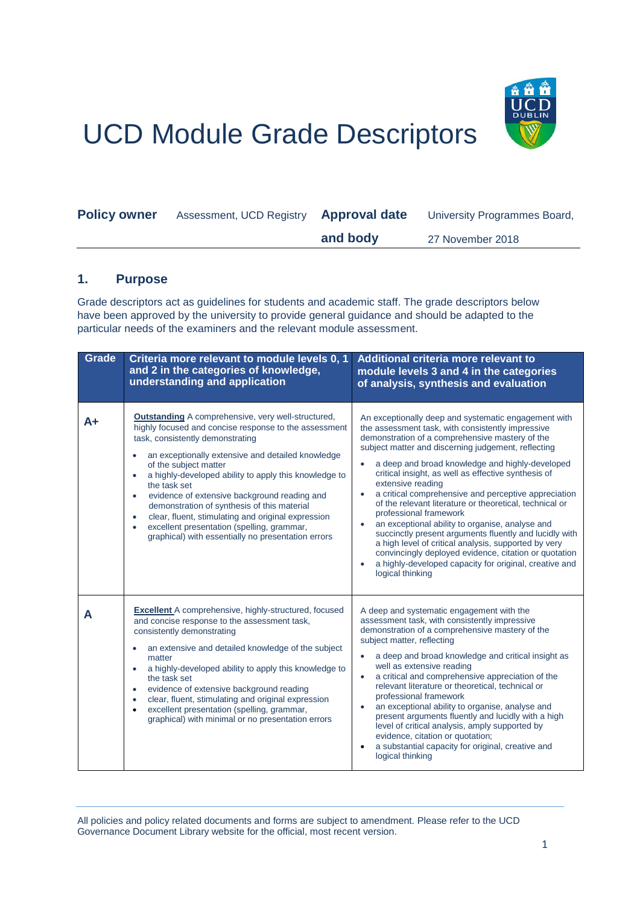

## UCD Module Grade Descriptors

| <b>Policy owner</b> | Assessment, UCD Registry | <b>Approval date</b> | University Programmes Board, |
|---------------------|--------------------------|----------------------|------------------------------|
|                     |                          | and body             | 27 November 2018             |

## **1. Purpose**

Grade descriptors act as guidelines for students and academic staff. The grade descriptors below have been approved by the university to provide general guidance and should be adapted to the particular needs of the examiners and the relevant module assessment.

| Grade | Criteria more relevant to module levels 0, 1<br>and 2 in the categories of knowledge,<br>understanding and application                                                                                                                                                                                                                                                                                                                                                                                                                                                                                                     | Additional criteria more relevant to<br>module levels 3 and 4 in the categories<br>of analysis, synthesis and evaluation                                                                                                                                                                                                                                                                                                                                                                                                                                                                                                                                                                                                                                                                                                              |
|-------|----------------------------------------------------------------------------------------------------------------------------------------------------------------------------------------------------------------------------------------------------------------------------------------------------------------------------------------------------------------------------------------------------------------------------------------------------------------------------------------------------------------------------------------------------------------------------------------------------------------------------|---------------------------------------------------------------------------------------------------------------------------------------------------------------------------------------------------------------------------------------------------------------------------------------------------------------------------------------------------------------------------------------------------------------------------------------------------------------------------------------------------------------------------------------------------------------------------------------------------------------------------------------------------------------------------------------------------------------------------------------------------------------------------------------------------------------------------------------|
| A+    | <b>Outstanding</b> A comprehensive, very well-structured,<br>highly focused and concise response to the assessment<br>task, consistently demonstrating<br>an exceptionally extensive and detailed knowledge<br>$\bullet$<br>of the subject matter<br>a highly-developed ability to apply this knowledge to<br>the task set<br>evidence of extensive background reading and<br>$\bullet$<br>demonstration of synthesis of this material<br>clear, fluent, stimulating and original expression<br>$\bullet$<br>excellent presentation (spelling, grammar,<br>$\bullet$<br>graphical) with essentially no presentation errors | An exceptionally deep and systematic engagement with<br>the assessment task, with consistently impressive<br>demonstration of a comprehensive mastery of the<br>subject matter and discerning judgement, reflecting<br>a deep and broad knowledge and highly-developed<br>critical insight, as well as effective synthesis of<br>extensive reading<br>a critical comprehensive and perceptive appreciation<br>$\bullet$<br>of the relevant literature or theoretical, technical or<br>professional framework<br>an exceptional ability to organise, analyse and<br>$\bullet$<br>succinctly present arguments fluently and lucidly with<br>a high level of critical analysis, supported by very<br>convincingly deployed evidence, citation or quotation<br>a highly-developed capacity for original, creative and<br>logical thinking |
| A     | <b>Excellent</b> A comprehensive, highly-structured, focused<br>and concise response to the assessment task,<br>consistently demonstrating<br>an extensive and detailed knowledge of the subject<br>$\bullet$<br>matter<br>a highly-developed ability to apply this knowledge to<br>$\bullet$<br>the task set<br>evidence of extensive background reading<br>$\bullet$<br>clear, fluent, stimulating and original expression<br>$\bullet$<br>excellent presentation (spelling, grammar,<br>$\bullet$<br>graphical) with minimal or no presentation errors                                                                  | A deep and systematic engagement with the<br>assessment task, with consistently impressive<br>demonstration of a comprehensive mastery of the<br>subject matter, reflecting<br>a deep and broad knowledge and critical insight as<br>well as extensive reading<br>a critical and comprehensive appreciation of the<br>relevant literature or theoretical, technical or<br>professional framework<br>an exceptional ability to organise, analyse and<br>$\bullet$<br>present arguments fluently and lucidly with a high<br>level of critical analysis, amply supported by<br>evidence, citation or quotation;<br>a substantial capacity for original, creative and<br>logical thinking                                                                                                                                                 |

All policies and policy related documents and forms are subject to amendment. Please refer to the UCD Governance Document Library website for the official, most recent version.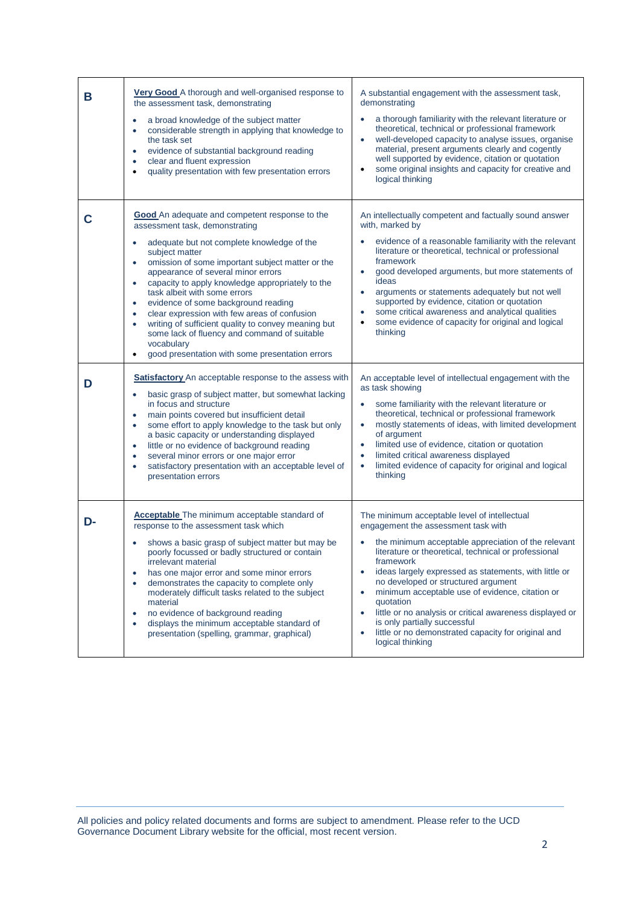| В  | Very Good A thorough and well-organised response to<br>the assessment task, demonstrating<br>a broad knowledge of the subject matter<br>$\bullet$<br>considerable strength in applying that knowledge to<br>$\bullet$<br>the task set<br>evidence of substantial background reading<br>$\bullet$<br>clear and fluent expression<br>$\bullet$<br>quality presentation with few presentation errors<br>$\bullet$                                                                                                                                                                                                                                                                                  | A substantial engagement with the assessment task,<br>demonstrating<br>a thorough familiarity with the relevant literature or<br>theoretical, technical or professional framework<br>well-developed capacity to analyse issues, organise<br>material, present arguments clearly and cogently<br>well supported by evidence, citation or quotation<br>some original insights and capacity for creative and<br>logical thinking                                                                                                                                                                              |
|----|-------------------------------------------------------------------------------------------------------------------------------------------------------------------------------------------------------------------------------------------------------------------------------------------------------------------------------------------------------------------------------------------------------------------------------------------------------------------------------------------------------------------------------------------------------------------------------------------------------------------------------------------------------------------------------------------------|------------------------------------------------------------------------------------------------------------------------------------------------------------------------------------------------------------------------------------------------------------------------------------------------------------------------------------------------------------------------------------------------------------------------------------------------------------------------------------------------------------------------------------------------------------------------------------------------------------|
| С  | <b>Good</b> An adequate and competent response to the<br>assessment task, demonstrating<br>adequate but not complete knowledge of the<br>$\bullet$<br>subject matter<br>omission of some important subject matter or the<br>$\bullet$<br>appearance of several minor errors<br>capacity to apply knowledge appropriately to the<br>$\bullet$<br>task albeit with some errors<br>evidence of some background reading<br>$\bullet$<br>clear expression with few areas of confusion<br>$\bullet$<br>writing of sufficient quality to convey meaning but<br>$\bullet$<br>some lack of fluency and command of suitable<br>vocabulary<br>good presentation with some presentation errors<br>$\bullet$ | An intellectually competent and factually sound answer<br>with, marked by<br>evidence of a reasonable familiarity with the relevant<br>literature or theoretical, technical or professional<br>framework<br>good developed arguments, but more statements of<br>$\bullet$<br>ideas<br>arguments or statements adequately but not well<br>$\bullet$<br>supported by evidence, citation or quotation<br>some critical awareness and analytical qualities<br>$\bullet$<br>some evidence of capacity for original and logical<br>$\bullet$<br>thinking                                                         |
| D  | <b>Satisfactory</b> An acceptable response to the assess with<br>basic grasp of subject matter, but somewhat lacking<br>$\bullet$<br>in focus and structure<br>main points covered but insufficient detail<br>$\bullet$<br>some effort to apply knowledge to the task but only<br>$\bullet$<br>a basic capacity or understanding displayed<br>little or no evidence of background reading<br>$\bullet$<br>several minor errors or one major error<br>$\bullet$<br>satisfactory presentation with an acceptable level of<br>$\bullet$<br>presentation errors                                                                                                                                     | An acceptable level of intellectual engagement with the<br>as task showing<br>some familiarity with the relevant literature or<br>۰<br>theoretical, technical or professional framework<br>mostly statements of ideas, with limited development<br>$\bullet$<br>of argument<br>limited use of evidence, citation or quotation<br>$\bullet$<br>limited critical awareness displayed<br>$\bullet$<br>limited evidence of capacity for original and logical<br>$\bullet$<br>thinking                                                                                                                          |
| D- | Acceptable The minimum acceptable standard of<br>response to the assessment task which<br>shows a basic grasp of subject matter but may be<br>poorly focussed or badly structured or contain<br>irrelevant material<br>has one major error and some minor errors<br>$\bullet$<br>demonstrates the capacity to complete only<br>٠<br>moderately difficult tasks related to the subject<br>material<br>no evidence of background reading<br>$\bullet$<br>displays the minimum acceptable standard of<br>$\bullet$<br>presentation (spelling, grammar, graphical)                                                                                                                                  | The minimum acceptable level of intellectual<br>engagement the assessment task with<br>the minimum acceptable appreciation of the relevant<br>literature or theoretical, technical or professional<br>framework<br>ideas largely expressed as statements, with little or<br>$\bullet$<br>no developed or structured argument<br>minimum acceptable use of evidence, citation or<br>$\bullet$<br>quotation<br>little or no analysis or critical awareness displayed or<br>$\bullet$<br>is only partially successful<br>little or no demonstrated capacity for original and<br>$\bullet$<br>logical thinking |